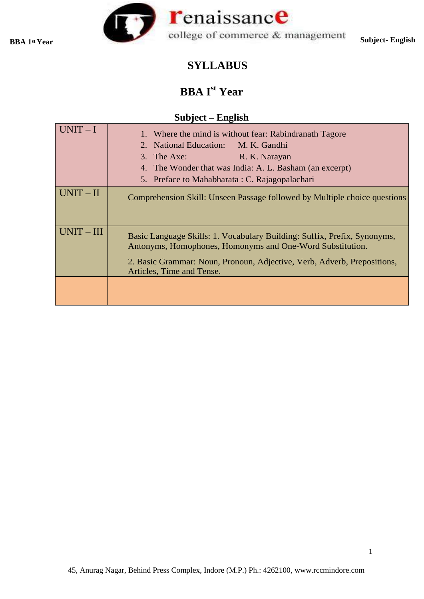

# **SYLLABUS**

# **BBA I st Year**

# **Subject – English**

| $UNIT-I$     | Where the mind is without fear: Rabindranath Tagore<br>2. National Education:<br>M. K. Gandhi<br>3. The Axe:<br>R. K. Narayan<br>4. The Wonder that was India: A. L. Basham (an excerpt)<br>5. Preface to Mahabharata: C. Rajagopalachari     |
|--------------|-----------------------------------------------------------------------------------------------------------------------------------------------------------------------------------------------------------------------------------------------|
| $UNIT-II$    | Comprehension Skill: Unseen Passage followed by Multiple choice questions                                                                                                                                                                     |
| $UNIT - III$ | Basic Language Skills: 1. Vocabulary Building: Suffix, Prefix, Synonyms,<br>Antonyms, Homophones, Homonyms and One-Word Substitution.<br>2. Basic Grammar: Noun, Pronoun, Adjective, Verb, Adverb, Prepositions,<br>Articles, Time and Tense. |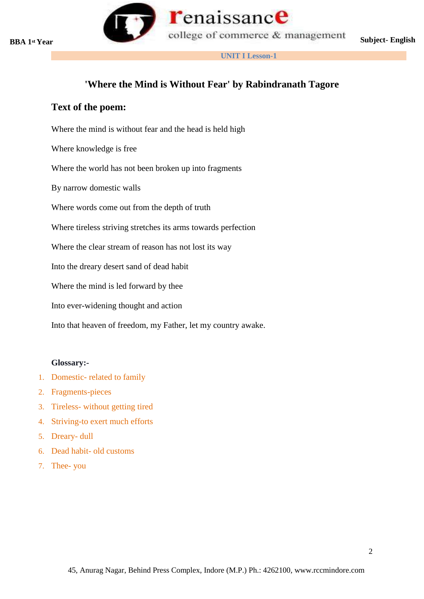

### **UNIT I Lesson-1**

# **'Where the Mind is Without Fear' by Rabindranath Tagore**

## **Text of the poem:**

Where the mind is without fear and the head is held high Where knowledge is free Where the world has not been broken up into fragments By narrow domestic walls Where words come out from the depth of truth Where tireless striving stretches its arms towards perfection Where the clear stream of reason has not lost its way Into the dreary desert sand of dead habit Where the mind is led forward by thee Into ever-widening thought and action Into that heaven of freedom, my Father, let my country awake.

### **Glossary:-**

- 1. Domestic- related to family
- 2. Fragments-pieces
- 3. Tireless- without getting tired
- 4. Striving-to exert much efforts
- 5. Dreary- dull
- 6. Dead habit- old customs
- 7. Thee- you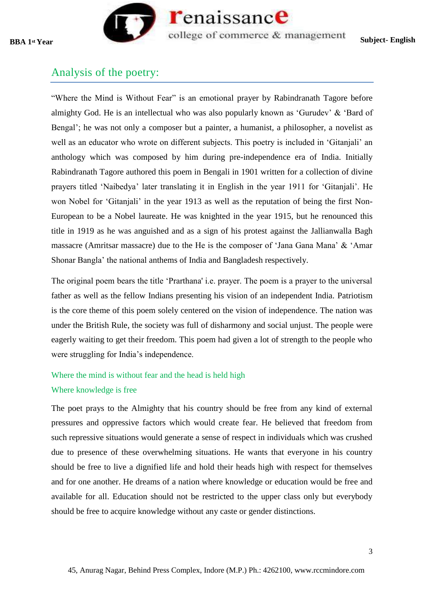

# Analysis of the poetry:

"Where the Mind is Without Fear" is an emotional prayer by Rabindranath Tagore before almighty God. He is an intellectual who was also popularly known as 'Gurudev'  $\&$  'Bard of Bengal'; he was not only a composer but a painter, a humanist, a philosopher, a novelist as well as an educator who wrote on different subjects. This poetry is included in 'Gitanjali' an anthology which was composed by him during pre-independence era of India. Initially Rabindranath Tagore authored this poem in Bengali in 1901 written for a collection of divine prayers titled 'Naibedya' later translating it in English in the year 1911 for 'Gitanjali'. He won Nobel for 'Gitanjali' in the year 1913 as well as the reputation of being the first Non-European to be a Nobel laureate. He was knighted in the year 1915, but he renounced this title in 1919 as he was anguished and as a sign of his protest against the Jallianwalla Bagh massacre (Amritsar massacre) due to the He is the composer of 'Jana Gana Mana' & 'Amar Shonar Bangla' the national anthems of India and Bangladesh respectively.

The original poem bears the title 'Prarthana' i.e. prayer. The poem is a prayer to the universal father as well as the fellow Indians presenting his vision of an independent India. Patriotism is the core theme of this poem solely centered on the vision of independence. The nation was under the British Rule, the society was full of disharmony and social unjust. The people were eagerly waiting to get their freedom. This poem had given a lot of strength to the people who were struggling for India's independence.

# Where the mind is without fear and the head is held high Where knowledge is free

The poet prays to the Almighty that his country should be free from any kind of external pressures and oppressive factors which would create fear. He believed that freedom from such repressive situations would generate a sense of respect in individuals which was crushed due to presence of these overwhelming situations. He wants that everyone in his country should be free to live a dignified life and hold their heads high with respect for themselves and for one another. He dreams of a nation where knowledge or education would be free and available for all. Education should not be restricted to the upper class only but everybody should be free to acquire knowledge without any caste or gender distinctions.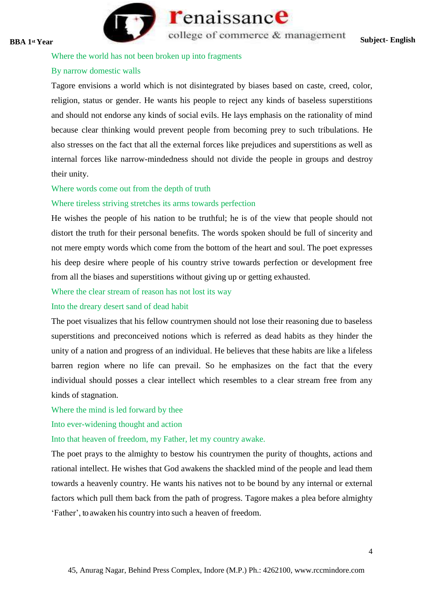

### Where the world has not been broken up into fragments

### By narrow domestic walls

Tagore envisions a world which is not disintegrated by biases based on caste, creed, color, religion, status or gender. He wants his people to reject any kinds of baseless superstitions and should not endorse any kinds of social evils. He lays emphasis on the rationality of mind because clear thinking would prevent people from becoming prey to such tribulations. He also stresses on the fact that all the external forces like prejudices and superstitions as well as internal forces like narrow-mindedness should not divide the people in groups and destroy their unity.

### Where words come out from the depth of truth

### Where tireless striving stretches its arms towards perfection

He wishes the people of his nation to be truthful; he is of the view that people should not distort the truth for their personal benefits. The words spoken should be full of sincerity and not mere empty words which come from the bottom of the heart and soul. The poet expresses his deep desire where people of his country strive towards perfection or development free from all the biases and superstitions without giving up or getting exhausted.

Where the clear stream of reason has not lost its way

Into the dreary desert sand of dead habit

The poet visualizes that his fellow countrymen should not lose their reasoning due to baseless superstitions and preconceived notions which is referred as dead habits as they hinder the unity of a nation and progress of an individual. He believes that these habits are like a lifeless barren region where no life can prevail. So he emphasizes on the fact that the every individual should posses a clear intellect which resembles to a clear stream free from any kinds of stagnation.

Where the mind is led forward by thee

Into ever-widening thought and action

Into that heaven of freedom, my Father, let my country awake.

The poet prays to the almighty to bestow his countrymen the purity of thoughts, actions and rational intellect. He wishes that God awakens the shackled mind of the people and lead them towards a heavenly country. He wants his natives not to be bound by any internal or external factors which pull them back from the path of progress. Tagore makes a plea before almighty ‗Father', to awaken his country into such a heaven of freedom.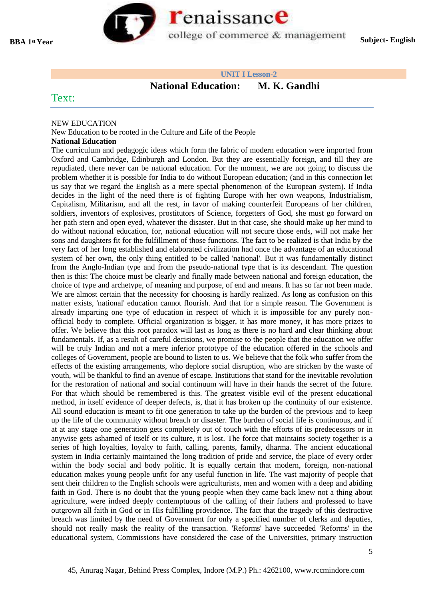**r**enaissance **BBA** 1<sup>st</sup> Year Subject- English

### **UNIT I Lesson-2**

**National Education: M. K. Gandhi**

## Text:

### NEW EDUCATION

New Education to be rooted in the Culture and Life of the People

### **National Education**

The curriculum and pedagogic ideas which form the fabric of modern education were imported from Oxford and Cambridge, Edinburgh and London. But they are essentially foreign, and till they are repudiated, there never can be national education. For the moment, we are not going to discuss the problem whether it is possible for India to do without European education; (and in this connection let us say that we regard the English as a mere special phenomenon of the European system). If India decides in the light of the need there is of fighting Europe with her own weapons, Industrialism, Capitalism, Militarism, and all the rest, in favor of making counterfeit Europeans of her children, soldiers, inventors of explosives, prostitutors of Science, forgetters of God, she must go forward on her path stern and open eyed, whatever the disaster. But in that case, she should make up her mind to do without national education, for, national education will not secure those ends, will not make her sons and daughters fit for the fulfillment of those functions. The fact to be realized is that India by the very fact of her long established and elaborated civilization had once the advantage of an educational system of her own, the only thing entitled to be called 'national'. But it was fundamentally distinct from the Anglo-Indian type and from the pseudo-national type that is its descendant. The question then is this: The choice must be clearly and finally made between national and foreign education, the choice of type and archetype, of meaning and purpose, of end and means. It has so far not been made. We are almost certain that the necessity for choosing is hardly realized. As long as confusion on this matter exists, 'national' education cannot flourish. And that for a simple reason. The Government is already imparting one type of education in respect of which it is impossible for any purely nonofficial body to complete. Official organization is bigger, it has more money, it has more prizes to offer. We believe that this root paradox will last as long as there is no hard and clear thinking about fundamentals. If, as a result of careful decisions, we promise to the people that the education we offer will be truly Indian and not a mere inferior prototype of the education offered in the schools and colleges of Government, people are bound to listen to us. We believe that the folk who suffer from the effects of the existing arrangements, who deplore social disruption, who are stricken by the waste of youth, will be thankful to find an avenue of escape. Institutions that stand for the inevitable revolution for the restoration of national and social continuum will have in their hands the secret of the future. For that which should be remembered is this. The greatest visible evil of the present educational method, in itself evidence of deeper defects, is, that it has broken up the continuity of our existence. All sound education is meant to fit one generation to take up the burden of the previous and to keep up the life of the community without breach or disaster. The burden of social life is continuous, and if at at any stage one generation gets completely out of touch with the efforts of its predecessors or in anywise gets ashamed of itself or its culture, it is lost. The force that maintains society together is a series of high loyalties, loyalty to faith, calling, parents, family, dharma. The ancient educational system in India certainly maintained the long tradition of pride and service, the place of every order within the body social and body politic. It is equally certain that modern, foreign, non-national education makes young people unfit for any useful function in life. The vast majority of people that sent their children to the English schools were agriculturists, men and women with a deep and abiding faith in God. There is no doubt that the young people when they came back knew not a thing about agriculture, were indeed deeply contemptuous of the calling of their fathers and professed to have outgrown all faith in God or in His fulfilling providence. The fact that the tragedy of this destructive breach was limited by the need of Government for only a specified number of clerks and deputies, should not really mask the reality of the transaction. 'Reforms' have succeeded 'Reforms' in the educational system, Commissions have considered the case of the Universities, primary instruction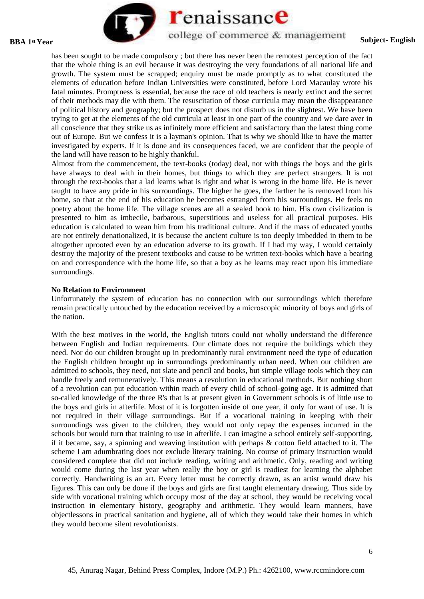



has been sought to be made compulsory ; but there has never been the remotest perception of the fact that the whole thing is an evil because it was destroying the very foundations of all national life and growth. The system must be scrapped; enquiry must be made promptly as to what constituted the elements of education before Indian Universities were constituted, before Lord Macaulay wrote his fatal minutes. Promptness is essential, because the race of old teachers is nearly extinct and the secret of their methods may die with them. The resuscitation of those curricula may mean the disappearance of political history and geography; but the prospect does not disturb us in the slightest. We have been trying to get at the elements of the old curricula at least in one part of the country and we dare aver in all conscience that they strike us as infinitely more efficient and satisfactory than the latest thing come out of Europe. But we confess it is a layman's opinion. That is why we should like to have the matter investigated by experts. If it is done and its consequences faced, we are confident that the people of the land will have reason to be highly thankful.

Almost from the commencement, the text-books (today) deal, not with things the boys and the girls have always to deal with in their homes, but things to which they are perfect strangers. It is not through the text-books that a lad learns what is right and what is wrong in the home life. He is never taught to have any pride in his surroundings. The higher he goes, the farther he is removed from his home, so that at the end of his education he becomes estranged from his surroundings. He feels no poetry about the home life. The village scenes are all a sealed book to him. His own civilization is presented to him as imbecile, barbarous, superstitious and useless for all practical purposes. His education is calculated to wean him from his traditional culture. And if the mass of educated youths are not entirely denationalized, it is because the ancient culture is too deeply imbedded in them to be altogether uprooted even by an education adverse to its growth. If I had my way, I would certainly destroy the majority of the present textbooks and cause to be written text-books which have a bearing on and correspondence with the home life, so that a boy as he learns may react upon his immediate surroundings.

### **No Relation to Environment**

Unfortunately the system of education has no connection with our surroundings which therefore remain practically untouched by the education received by a microscopic minority of boys and girls of the nation.

With the best motives in the world, the English tutors could not wholly understand the difference between English and Indian requirements. Our climate does not require the buildings which they need. Nor do our children brought up in predominantly rural environment need the type of education the English children brought up in surroundings predominantly urban need. When our children are admitted to schools, they need, not slate and pencil and books, but simple village tools which they can handle freely and remuneratively. This means a revolution in educational methods. But nothing short of a revolution can put education within reach of every child of school-going age. It is admitted that so-called knowledge of the three R's that is at present given in Government schools is of little use to the boys and girls in afterlife. Most of it is forgotten inside of one year, if only for want of use. It is not required in their village surroundings. But if a vocational training in keeping with their surroundings was given to the children, they would not only repay the expenses incurred in the schools but would turn that training to use in afterlife. I can imagine a school entirely self-supporting, if it became, say, a spinning and weaving institution with perhaps & cotton field attached to it. The scheme I am adumbrating does not exclude literary training. No course of primary instruction would considered complete that did not include reading, writing and arithmetic. Only, reading and writing would come during the last year when really the boy or girl is readiest for learning the alphabet correctly. Handwriting is an art. Every letter must be correctly drawn, as an artist would draw his figures. This can only be done if the boys and girls are first taught elementary drawing. Thus side by side with vocational training which occupy most of the day at school, they would be receiving vocal instruction in elementary history, geography and arithmetic. They would learn manners, have objectlessons in practical sanitation and hygiene, all of which they would take their homes in which they would become silent revolutionists.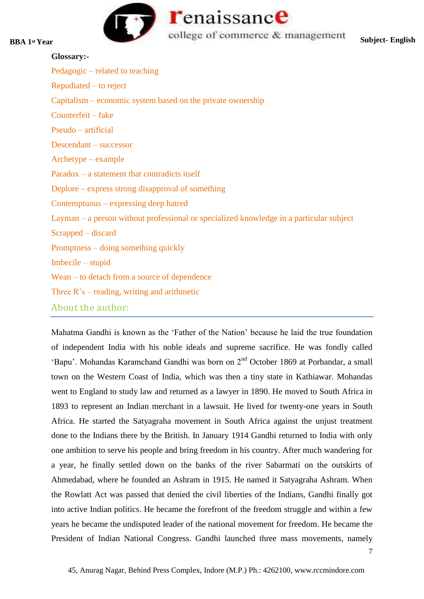

7

Pedagogic – related to teaching Repudiated – to reject Capitalism – economic system based on the private ownership Counterfeit – fake Pseudo – artificial Descendant – successor Archetype – example Paradox – a statement that contradicts itself Deplore – express strong disapproval of something Contemptuous – expressing deep hatred Layman – a person without professional or specialized knowledge in a particular subject Scrapped – discard Promptness – doing something quickly Imbecile – stupid Wean – to detach from a source of dependence Three  $R$ 's – reading, writing and arithmetic About the author:

Mahatma Gandhi is known as the 'Father of the Nation' because he laid the true foundation of independent India with his noble ideals and supreme sacrifice. He was fondly called ‗Bapu'. Mohandas Karamchand Gandhi was born on 2nd October 1869 at Porbandar, a small town on the Western Coast of India, which was then a tiny state in Kathiawar. Mohandas went to England to study law and returned as a lawyer in 1890. He moved to South Africa in 1893 to represent an Indian merchant in a lawsuit. He lived for twenty-one years in South Africa. He started the Satyagraha movement in South Africa against the unjust treatment done to the Indians there by the British. In January 1914 Gandhi returned to India with only one ambition to serve his people and bring freedom in his country. After much wandering for a year, he finally settled down on the banks of the river Sabarmati on the outskirts of Ahmedabad, where he founded an Ashram in 1915. He named it Satyagraha Ashram. When the Rowlatt Act was passed that denied the civil liberties of the Indians, Gandhi finally got into active Indian politics. He became the forefront of the freedom struggle and within a few years he became the undisputed leader of the national movement for freedom. He became the President of Indian National Congress. Gandhi launched three mass movements, namely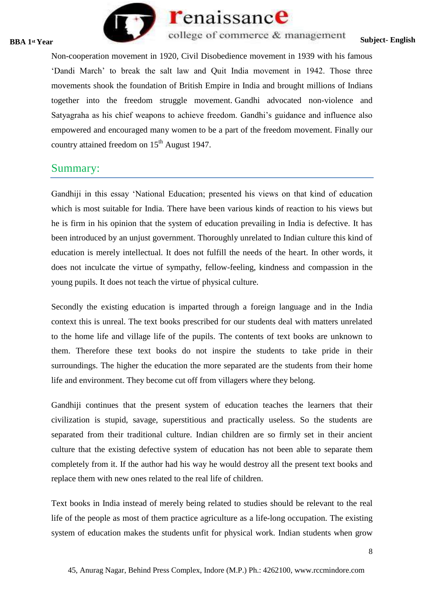

Non-cooperation movement in 1920, Civil Disobedience movement in 1939 with his famous ‗Dandi March' to break the salt law and Quit India movement in 1942. Those three movements shook the foundation of British Empire in India and brought millions of Indians together into the freedom struggle movement. Gandhi advocated non-violence and Satyagraha as his chief weapons to achieve freedom. Gandhi's guidance and influence also empowered and encouraged many women to be a part of the freedom movement. Finally our country attained freedom on  $15<sup>th</sup>$  August 1947.

# Summary:

Gandhiji in this essay 'National Education; presented his views on that kind of education which is most suitable for India. There have been various kinds of reaction to his views but he is firm in his opinion that the system of education prevailing in India is defective. It has been introduced by an unjust government. Thoroughly unrelated to Indian culture this kind of education is merely intellectual. It does not fulfill the needs of the heart. In other words, it does not inculcate the virtue of sympathy, fellow-feeling, kindness and compassion in the young pupils. It does not teach the virtue of physical culture.

Secondly the existing education is imparted through a foreign language and in the India context this is unreal. The text books prescribed for our students deal with matters unrelated to the home life and village life of the pupils. The contents of text books are unknown to them. Therefore these text books do not inspire the students to take pride in their surroundings. The higher the education the more separated are the students from their home life and environment. They become cut off from villagers where they belong.

Gandhiji continues that the present system of education teaches the learners that their civilization is stupid, savage, superstitious and practically useless. So the students are separated from their traditional culture. Indian children are so firmly set in their ancient culture that the existing defective system of education has not been able to separate them completely from it. If the author had his way he would destroy all the present text books and replace them with new ones related to the real life of children.

Text books in India instead of merely being related to studies should be relevant to the real life of the people as most of them practice agriculture as a life-long occupation. The existing system of education makes the students unfit for physical work. Indian students when grow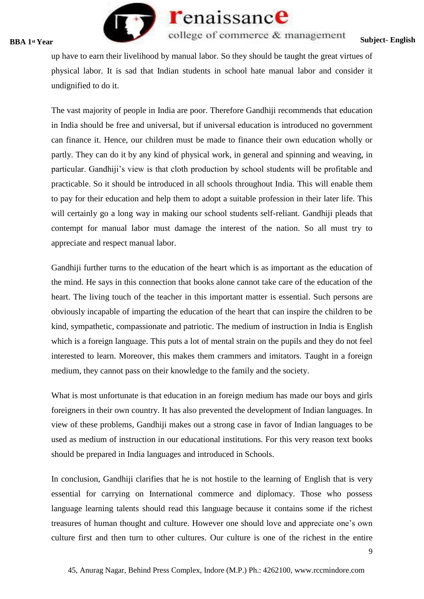



9

up have to earn their livelihood by manual labor. So they should be taught the great virtues of physical labor. It is sad that Indian students in school hate manual labor and consider it undignified to do it.

The vast majority of people in India are poor. Therefore Gandhiji recommends that education in India should be free and universal, but if universal education is introduced no government can finance it. Hence, our children must be made to finance their own education wholly or partly. They can do it by any kind of physical work, in general and spinning and weaving, in particular. Gandhiji's view is that cloth production by school students will be profitable and practicable. So it should be introduced in all schools throughout India. This will enable them to pay for their education and help them to adopt a suitable profession in their later life. This will certainly go a long way in making our school students self-reliant. Gandhiji pleads that contempt for manual labor must damage the interest of the nation. So all must try to appreciate and respect manual labor.

Gandhiji further turns to the education of the heart which is as important as the education of the mind. He says in this connection that books alone cannot take care of the education of the heart. The living touch of the teacher in this important matter is essential. Such persons are obviously incapable of imparting the education of the heart that can inspire the children to be kind, sympathetic, compassionate and patriotic. The medium of instruction in India is English which is a foreign language. This puts a lot of mental strain on the pupils and they do not feel interested to learn. Moreover, this makes them crammers and imitators. Taught in a foreign medium, they cannot pass on their knowledge to the family and the society.

What is most unfortunate is that education in an foreign medium has made our boys and girls foreigners in their own country. It has also prevented the development of Indian languages. In view of these problems, Gandhiji makes out a strong case in favor of Indian languages to be used as medium of instruction in our educational institutions. For this very reason text books should be prepared in India languages and introduced in Schools.

In conclusion, Gandhiji clarifies that he is not hostile to the learning of English that is very essential for carrying on International commerce and diplomacy. Those who possess language learning talents should read this language because it contains some if the richest treasures of human thought and culture. However one should love and appreciate one's own culture first and then turn to other cultures. Our culture is one of the richest in the entire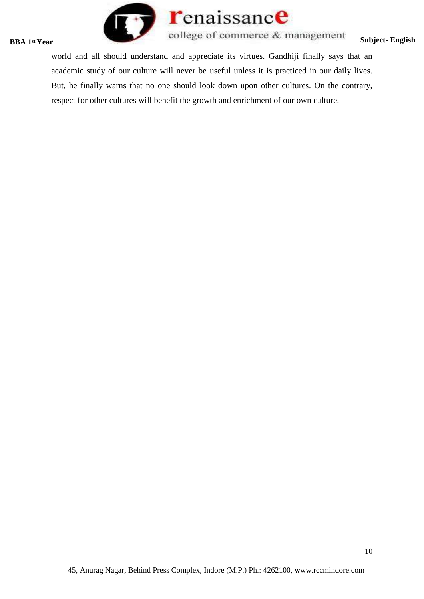

world and all should understand and appreciate its virtues. Gandhiji finally says that an academic study of our culture will never be useful unless it is practiced in our daily lives. But, he finally warns that no one should look down upon other cultures. On the contrary, respect for other cultures will benefit the growth and enrichment of our own culture.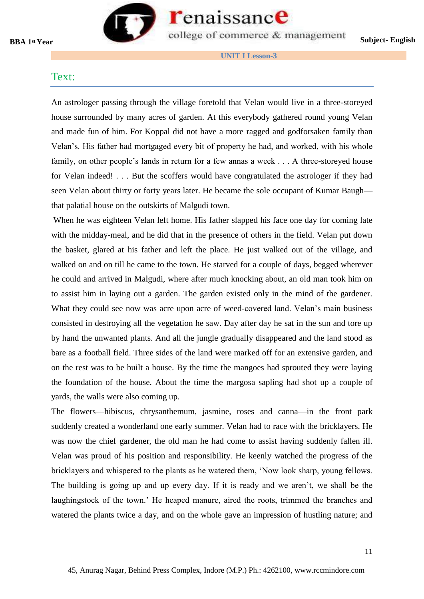

**UNIT I Lesson-3**

# Text:

An astrologer passing through the village foretold that Velan would live in a three-storeyed house surrounded by many acres of garden. At this everybody gathered round young Velan and made fun of him. For Koppal did not have a more ragged and godforsaken family than Velan's. His father had mortgaged every bit of property he had, and worked, with his whole family, on other people's lands in return for a few annas a week . . . A three-storeyed house for Velan indeed! . . . But the scoffers would have congratulated the astrologer if they had seen Velan about thirty or forty years later. He became the sole occupant of Kumar Baugh that palatial house on the outskirts of Malgudi town.

When he was eighteen Velan left home. His father slapped his face one day for coming late with the midday-meal, and he did that in the presence of others in the field. Velan put down the basket, glared at his father and left the place. He just walked out of the village, and walked on and on till he came to the town. He starved for a couple of days, begged wherever he could and arrived in Malgudi, where after much knocking about, an old man took him on to assist him in laying out a garden. The garden existed only in the mind of the gardener. What they could see now was acre upon acre of weed-covered land. Velan's main business consisted in destroying all the vegetation he saw. Day after day he sat in the sun and tore up by hand the unwanted plants. And all the jungle gradually disappeared and the land stood as bare as a football field. Three sides of the land were marked off for an extensive garden, and on the rest was to be built a house. By the time the mangoes had sprouted they were laying the foundation of the house. About the time the margosa sapling had shot up a couple of yards, the walls were also coming up.

The flowers—hibiscus, chrysanthemum, jasmine, roses and canna—in the front park suddenly created a wonderland one early summer. Velan had to race with the bricklayers. He was now the chief gardener, the old man he had come to assist having suddenly fallen ill. Velan was proud of his position and responsibility. He keenly watched the progress of the bricklayers and whispered to the plants as he watered them, 'Now look sharp, young fellows. The building is going up and up every day. If it is ready and we aren't, we shall be the laughingstock of the town.' He heaped manure, aired the roots, trimmed the branches and watered the plants twice a day, and on the whole gave an impression of hustling nature; and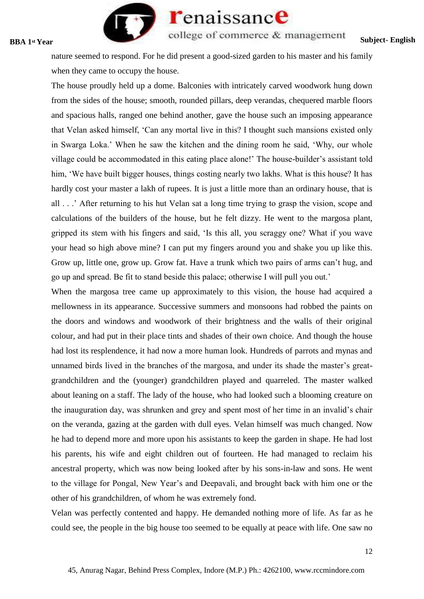

nature seemed to respond. For he did present a good-sized garden to his master and his family when they came to occupy the house.

The house proudly held up a dome. Balconies with intricately carved woodwork hung down from the sides of the house; smooth, rounded pillars, deep verandas, chequered marble floors and spacious halls, ranged one behind another, gave the house such an imposing appearance that Velan asked himself, 'Can any mortal live in this? I thought such mansions existed only in Swarga Loka.' When he saw the kitchen and the dining room he said, 'Why, our whole village could be accommodated in this eating place alone!' The house-builder's assistant told him, 'We have built bigger houses, things costing nearly two lakhs. What is this house? It has hardly cost your master a lakh of rupees. It is just a little more than an ordinary house, that is all . . .' After returning to his hut Velan sat a long time trying to grasp the vision, scope and calculations of the builders of the house, but he felt dizzy. He went to the margosa plant, gripped its stem with his fingers and said, 'Is this all, you scraggy one? What if you wave your head so high above mine? I can put my fingers around you and shake you up like this. Grow up, little one, grow up. Grow fat. Have a trunk which two pairs of arms can't hug, and go up and spread. Be fit to stand beside this palace; otherwise I will pull you out.'

When the margosa tree came up approximately to this vision, the house had acquired a mellowness in its appearance. Successive summers and monsoons had robbed the paints on the doors and windows and woodwork of their brightness and the walls of their original colour, and had put in their place tints and shades of their own choice. And though the house had lost its resplendence, it had now a more human look. Hundreds of parrots and mynas and unnamed birds lived in the branches of the margosa, and under its shade the master's greatgrandchildren and the (younger) grandchildren played and quarreled. The master walked about leaning on a staff. The lady of the house, who had looked such a blooming creature on the inauguration day, was shrunken and grey and spent most of her time in an invalid's chair on the veranda, gazing at the garden with dull eyes. Velan himself was much changed. Now he had to depend more and more upon his assistants to keep the garden in shape. He had lost his parents, his wife and eight children out of fourteen. He had managed to reclaim his ancestral property, which was now being looked after by his sons-in-law and sons. He went to the village for Pongal, New Year's and Deepavali, and brought back with him one or the other of his grandchildren, of whom he was extremely fond.

Velan was perfectly contented and happy. He demanded nothing more of life. As far as he could see, the people in the big house too seemed to be equally at peace with life. One saw no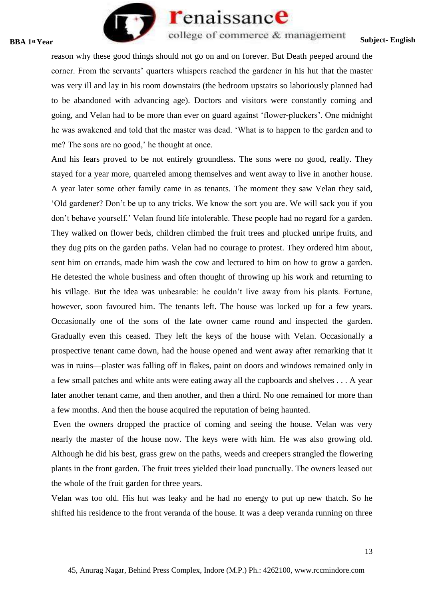



reason why these good things should not go on and on forever. But Death peeped around the corner. From the servants' quarters whispers reached the gardener in his hut that the master was very ill and lay in his room downstairs (the bedroom upstairs so laboriously planned had to be abandoned with advancing age). Doctors and visitors were constantly coming and going, and Velan had to be more than ever on guard against ‗flower-pluckers'. One midnight he was awakened and told that the master was dead. 'What is to happen to the garden and to me? The sons are no good,' he thought at once.

And his fears proved to be not entirely groundless. The sons were no good, really. They stayed for a year more, quarreled among themselves and went away to live in another house. A year later some other family came in as tenants. The moment they saw Velan they said, ‗Old gardener? Don't be up to any tricks. We know the sort you are. We will sack you if you don't behave yourself.' Velan found life intolerable. These people had no regard for a garden. They walked on flower beds, children climbed the fruit trees and plucked unripe fruits, and they dug pits on the garden paths. Velan had no courage to protest. They ordered him about, sent him on errands, made him wash the cow and lectured to him on how to grow a garden. He detested the whole business and often thought of throwing up his work and returning to his village. But the idea was unbearable: he couldn't live away from his plants. Fortune, however, soon favoured him. The tenants left. The house was locked up for a few years. Occasionally one of the sons of the late owner came round and inspected the garden. Gradually even this ceased. They left the keys of the house with Velan. Occasionally a prospective tenant came down, had the house opened and went away after remarking that it was in ruins—plaster was falling off in flakes, paint on doors and windows remained only in a few small patches and white ants were eating away all the cupboards and shelves . . . A year later another tenant came, and then another, and then a third. No one remained for more than a few months. And then the house acquired the reputation of being haunted.

Even the owners dropped the practice of coming and seeing the house. Velan was very nearly the master of the house now. The keys were with him. He was also growing old. Although he did his best, grass grew on the paths, weeds and creepers strangled the flowering plants in the front garden. The fruit trees yielded their load punctually. The owners leased out the whole of the fruit garden for three years.

Velan was too old. His hut was leaky and he had no energy to put up new thatch. So he shifted his residence to the front veranda of the house. It was a deep veranda running on three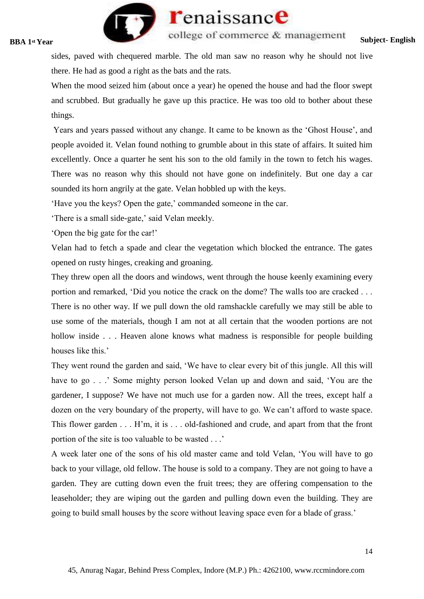

sides, paved with chequered marble. The old man saw no reason why he should not live there. He had as good a right as the bats and the rats.

When the mood seized him (about once a year) he opened the house and had the floor swept and scrubbed. But gradually he gave up this practice. He was too old to bother about these things.

Years and years passed without any change. It came to be known as the 'Ghost House', and people avoided it. Velan found nothing to grumble about in this state of affairs. It suited him excellently. Once a quarter he sent his son to the old family in the town to fetch his wages. There was no reason why this should not have gone on indefinitely. But one day a car sounded its horn angrily at the gate. Velan hobbled up with the keys.

‗Have you the keys? Open the gate,' commanded someone in the car.

‗There is a small side-gate,' said Velan meekly.

‗Open the big gate for the car!'

Velan had to fetch a spade and clear the vegetation which blocked the entrance. The gates opened on rusty hinges, creaking and groaning.

They threw open all the doors and windows, went through the house keenly examining every portion and remarked, 'Did you notice the crack on the dome? The walls too are cracked . . . There is no other way. If we pull down the old ramshackle carefully we may still be able to use some of the materials, though I am not at all certain that the wooden portions are not hollow inside . . . Heaven alone knows what madness is responsible for people building houses like this.'

They went round the garden and said, 'We have to clear every bit of this jungle. All this will have to go . . .' Some mighty person looked Velan up and down and said, 'You are the gardener, I suppose? We have not much use for a garden now. All the trees, except half a dozen on the very boundary of the property, will have to go. We can't afford to waste space. This flower garden . . . H'm, it is . . . old-fashioned and crude, and apart from that the front portion of the site is too valuable to be wasted . . .'

A week later one of the sons of his old master came and told Velan, 'You will have to go back to your village, old fellow. The house is sold to a company. They are not going to have a garden. They are cutting down even the fruit trees; they are offering compensation to the leaseholder; they are wiping out the garden and pulling down even the building. They are going to build small houses by the score without leaving space even for a blade of grass.'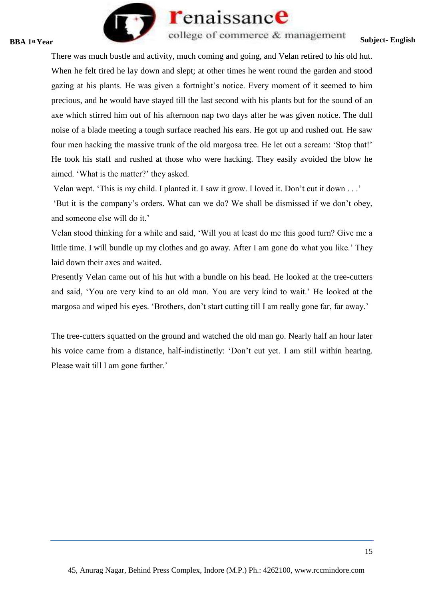

There was much bustle and activity, much coming and going, and Velan retired to his old hut. When he felt tired he lay down and slept; at other times he went round the garden and stood gazing at his plants. He was given a fortnight's notice. Every moment of it seemed to him precious, and he would have stayed till the last second with his plants but for the sound of an axe which stirred him out of his afternoon nap two days after he was given notice. The dull noise of a blade meeting a tough surface reached his ears. He got up and rushed out. He saw four men hacking the massive trunk of the old margosa tree. He let out a scream: 'Stop that!' He took his staff and rushed at those who were hacking. They easily avoided the blow he aimed. 'What is the matter?' they asked.

Velan wept. 'This is my child. I planted it. I saw it grow. I loved it. Don't cut it down . . .'

‗But it is the company's orders. What can we do? We shall be dismissed if we don't obey, and someone else will do it.'

Velan stood thinking for a while and said, ‗Will you at least do me this good turn? Give me a little time. I will bundle up my clothes and go away. After I am gone do what you like.' They laid down their axes and waited.

Presently Velan came out of his hut with a bundle on his head. He looked at the tree-cutters and said, ‗You are very kind to an old man. You are very kind to wait.' He looked at the margosa and wiped his eyes. 'Brothers, don't start cutting till I am really gone far, far away.'

The tree-cutters squatted on the ground and watched the old man go. Nearly half an hour later his voice came from a distance, half-indistinctly: 'Don't cut yet. I am still within hearing. Please wait till I am gone farther.'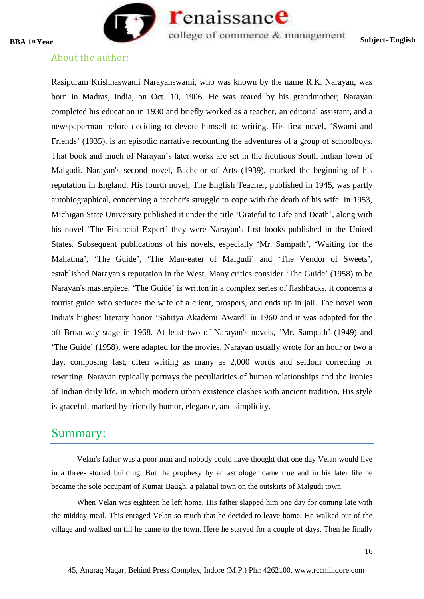

### About the author:

Rasipuram Krishnaswami Narayanswami, who was known by the name R.K. Narayan, was born in Madras, India, on Oct. 10, 1906. He was reared by his grandmother; Narayan completed his education in 1930 and briefly worked as a teacher, an editorial assistant, and a newspaperman before deciding to devote himself to writing. His first novel, 'Swami and Friends' (1935), is an episodic narrative recounting the adventures of a group of schoolboys. That book and much of Narayan's later works are set in the fictitious South Indian town of Malgudi. Narayan's second novel, Bachelor of Arts (1939), marked the beginning of his reputation in England. His fourth novel, The English Teacher*,* published in 1945, was partly autobiographical, concerning a teacher's struggle to cope with the death of his wife. In 1953, Michigan State University published it under the title ‗Grateful to Life and Death'*,* along with his novel 'The Financial Expert' they were Narayan's first books published in the United States. Subsequent publications of his novels, especially 'Mr. Sampath', 'Waiting for the Mahatma', 'The Guide', 'The Man-eater of Malgudi' and 'The Vendor of Sweets', established Narayan's reputation in the West. Many critics consider 'The Guide' (1958) to be Narayan's masterpiece. 'The Guide' is written in a complex series of flashbacks, it concerns a tourist guide who seduces the wife of a client, prospers, and ends up in jail. The novel won India's highest literary honor 'Sahitya Akademi Award' in 1960 and it was adapted for the off-Broadway stage in 1968. At least two of Narayan's novels, ‗Mr. Sampath' (1949) and ‗The Guide' (1958), were adapted for the movies. Narayan usually wrote for an hour or two a day, composing fast, often writing as many as 2,000 words and seldom correcting or rewriting. Narayan typically portrays the peculiarities of human relationships and the ironies of Indian daily life, in which modern urban existence clashes with ancient tradition. His style is graceful, marked by friendly humor, elegance, and simplicity.

# Summary:

Velan's father was a poor man and nobody could have thought that one day Velan would live in a three- storied building. But the prophesy by an astrologer came true and in his later life he became the sole occupant of Kumar Baugh, a palatial town on the outskirts of Malgudi town.

When Velan was eighteen he left home. His father slapped him one day for coming late with the midday meal. This enraged Velan so much that he decided to leave home. He walked out of the village and walked on till he came to the town. Here he starved for a couple of days. Then he finally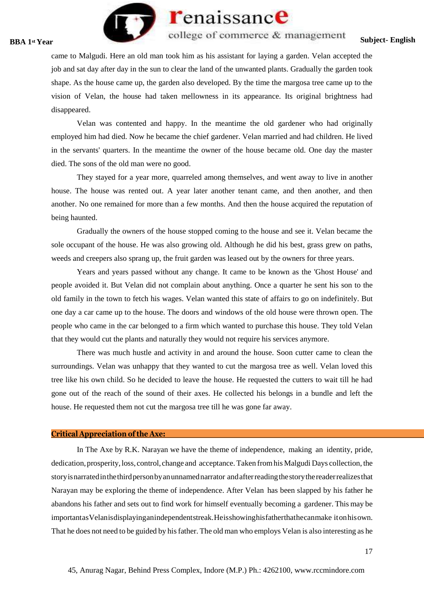



came to Malgudi. Here an old man took him as his assistant for laying a garden. Velan accepted the job and sat day after day in the sun to clear the land of the unwanted plants. Gradually the garden took shape. As the house came up, the garden also developed. By the time the margosa tree came up to the vision of Velan, the house had taken mellowness in its appearance. Its original brightness had disappeared.

Velan was contented and happy. In the meantime the old gardener who had originally employed him had died. Now he became the chief gardener. Velan married and had children. He lived in the servants' quarters. In the meantime the owner of the house became old. One day the master died. The sons of the old man were no good.

They stayed for a year more, quarreled among themselves, and went away to live in another house. The house was rented out. A year later another tenant came, and then another, and then another. No one remained for more than a few months. And then the house acquired the reputation of being haunted.

Gradually the owners of the house stopped coming to the house and see it. Velan became the sole occupant of the house. He was also growing old. Although he did his best, grass grew on paths, weeds and creepers also sprang up, the fruit garden was leased out by the owners for three years.

Years and years passed without any change. It came to be known as the 'Ghost House' and people avoided it. But Velan did not complain about anything. Once a quarter he sent his son to the old family in the town to fetch his wages. Velan wanted this state of affairs to go on indefinitely. But one day a car came up to the house. The doors and windows of the old house were thrown open. The people who came in the car belonged to a firm which wanted to purchase this house. They told Velan that they would cut the plants and naturally they would not require his services anymore.

There was much hustle and activity in and around the house. Soon cutter came to clean the surroundings. Velan was unhappy that they wanted to cut the margosa tree as well. Velan loved this tree like his own child. So he decided to leave the house. He requested the cutters to wait till he had gone out of the reach of the sound of their axes. He collected his belongs in a bundle and left the house. He requested them not cut the margosa tree till he was gone far away.

### **Critical Appreciation ofthe Axe:**

In The Axe by R.K. Narayan we have the theme of independence, making an identity, pride, dedication, prosperity, loss, control, change and acceptance. Taken from his Malgudi Days collection, the storyisnarratedinthethirdpersonbyanunnamednarrator andafterreadingthestorythereaderrealizesthat Narayan may be exploring the theme of independence. After Velan has been slapped by his father he abandons his father and sets out to find work for himself eventually becoming a gardener. This may be importantasVelanisdisplayinganindependentstreak.Heisshowinghisfatherthathecanmake itonhisown. That he does not need to be guided by his father. The old man who employs Velan is also interesting as he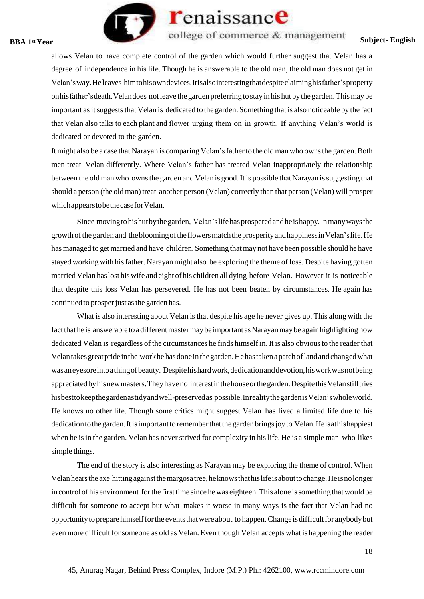



allows Velan to have complete control of the garden which would further suggest that Velan has a degree of independence in his life. Though he is answerable to the old man, the old man does not get in Velan'sway.Heleaves himtohisowndevices.Itisalsointerestingthatdespiteclaiminghisfather'sproperty onhisfather'sdeath.Velandoes notleave the garden preferringto stayin his hut bythe garden.Thismaybe important as it suggests that Velan is dedicated to the garden. Something that is also noticeable by the fact that Velan also talksto each plant and flower urging them on in growth. If anything Velan's world is dedicated or devoted to the garden.

It might also be a case that Narayan is comparing Velan's father to the oldman who owns the garden. Both men treat Velan differently. Where Velan's father has treated Velan inappropriately the relationship between the oldman who ownsthe garden andVelan is good.It is possible that Narayan issuggesting that should a person (the oldman) treat another person (Velan) correctly than that person (Velan) will prosper whichappearstobethecaseforVelan.

Since movingtohishutbythegarden, Velan'slifehasprosperedandheishappy.Inmanywaysthe growth ofthe garden and thebloomingoftheflowersmatchtheprosperityandhappinessinVelan'slife.He has managed to get married and have children. Something thatmay not have been possible should he have stayed working with his father. Narayan might also be exploring the theme of loss. Despite having gotten marriedVelan haslost his wife and eight of his children all dying before Velan. However it is noticeable that despite this loss Velan has persevered. He has not been beaten by circumstances. He again has continued to prosperjust asthe garden has.

What is also interesting about Velan is that despite his age he never gives up. This along with the fact that he is answerable to a different master may be important as Narayan may be again highlighting how dedicated Velan is regardless of the circumstances he finds himself in.It is also obviousto the reader that Velantakes great pride in the work he has done in the garden. He has taken a patch of land and changed what wasaneyesoreintoathingofbeauty. Despitehishardwork,dedicationanddevotion,hisworkwasnotbeing appreciatedbyhisnewmasters.Theyhaveno interestinthehouseorthegarden.DespitethisVelanstilltries hisbesttokeepthegardenastidyandwell-preservedas possible.InrealitythegardenisVelan'swholeworld. He knows no other life. Though some critics might suggest Velan has lived a limited life due to his dedication to the garden. It is important to remember that the garden brings joy to Velan. He is at his happiest when he is in the garden. Velan has never strived for complexity in his life. He is a simple man who likes simple things.

The end of the story is also interesting as Narayan may be exploring the theme of control. When Velanhearsthe axe hittingagainstthemargosatree,heknowsthathislifeisabouttochange.Heisnolonger in control of his environment for the first time since he was eighteen. This alone is something that would be difficult for someone to accept but what makes it worse in many ways is the fact that Velan had no opportunitytopreparehimselfforthe eventsthatwere about to happen.Changeisdifficultfor anybodybut even more difficult for someone as old as Velan. Even though Velan accepts what is happening the reader